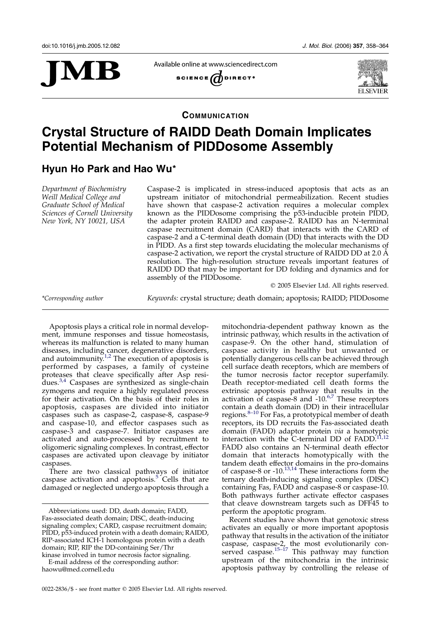

Available online at www.sciencedirect.com





**COMMUNICATION** 

# Crystal Structure of RAIDD Death Domain Implicates Potential Mechanism of PIDDosome Assembly

# Hyun Ho Park and Hao Wu\*

Department of Biochemistry Weill Medical College and Graduate School of Medical Sciences of Cornell University New York, NY 10021, USA

Caspase-2 is implicated in stress-induced apoptosis that acts as an upstream initiator of mitochondrial permeabilization. Recent studies have shown that caspase-2 activation requires a molecular complex known as the PIDDosome comprising the p53-inducible protein PIDD, the adapter protein RAIDD and caspase-2. RAIDD has an N-terminal caspase recruitment domain (CARD) that interacts with the CARD of caspase-2 and a C-terminal death domain (DD) that interacts with the DD in PIDD. As a first step towards elucidating the molecular mechanisms of caspase-2 activation, we report the crystal structure of RAIDD DD at 2.0 A resolution. The high-resolution structure reveals important features of RAIDD DD that may be important for DD folding and dynamics and for assembly of the PIDDosome.  $©$  2005 Elsevier Ltd. All rights reserved.

\*Corresponding author Keywords: crystal structure; death domain; apoptosis; RAIDD; PIDDosome

Apoptosis plays a critical role in normal development, immune responses and tissue homeostasis, whereas its malfunction is related to many human diseases, including cancer, degenerative disorders, and autoimmunity.<sup>[1,2](#page-5-0)</sup> The execution of apoptosis is performed by caspases, a family of cysteine proteases that cleave specifically after Asp resi-dues.<sup>[3,4](#page-5-0)</sup> Caspases are synthesized as single-chain zymogens and require a highly regulated process for their activation. On the basis of their roles in apoptosis, caspases are divided into initiator caspases such as caspase-2, caspase-8, caspase-9 and caspase-10, and effector caspases such as caspase-3 and caspase-7. Initiator caspases are activated and auto-processed by recruitment to oligomeric signaling complexes. In contrast, effector caspases are activated upon cleavage by initiator caspases.

There are two classical pathways of initiator caspase activation and apoptosis.<sup>[5](#page-5-0)</sup> Cells that are damaged or neglected undergo apoptosis through a

E-mail address of the corresponding author: haowu@med.cornell.edu

0022-2836/\$ - see front matter q 2005 Elsevier Ltd. All rights reserved.

mitochondria-dependent pathway known as the intrinsic pathway, which results in the activation of caspase-9. On the other hand, stimulation of caspase activity in healthy but unwanted or potentially dangerous cells can be achieved through cell surface death receptors, which are members of the tumor necrosis factor receptor superfamily. Death receptor-mediated cell death forms the extrinsic apoptosis pathway that results in the activation of caspase-8 and -10.<sup>6,7</sup> These receptors contain a death domain (DD) in their intracellular regions.<sup>8–10</sup> For Fas, a prototypical member of death receptors, its DD recruits the Fas-associated death domain (FADD) adaptor protein via a homotypic interaction with the  $C$ -terminal DD of FADD.<sup>[11,12](#page-5-0)</sup> FADD also contains an N-terminal death effector domain that interacts homotypically with the tandem death effector domains in the pro-domains of caspase-8 or  $-10^{13,14}$  These interactions form the ternary death-inducing signaling complex (DISC) containing Fas, FADD and caspase-8 or caspase-10. Both pathways further activate effector caspases that cleave downstream targets such as DFF45 to perform the apoptotic program.

Recent studies have shown that genotoxic stress activates an equally or more important apoptosis pathway that results in the activation of the initiator caspase, caspase-2, the most evolutionarily con-served caspase.<sup>[15–17](#page-5-0)</sup> This pathway may function upstream of the mitochondria in the intrinsic apoptosis pathway by controlling the release of

Abbreviations used: DD, death domain; FADD, Fas-associated death domain; DISC, death-inducing signaling complex; CARD, caspase recruitment domain; PIDD, p53-induced protein with a death domain; RAIDD, RIP-associated ICH-1 homologous protein with a death domain; RIP, RIP the DD-containing Ser/Thr kinase involved in tumor necrosis factor signaling.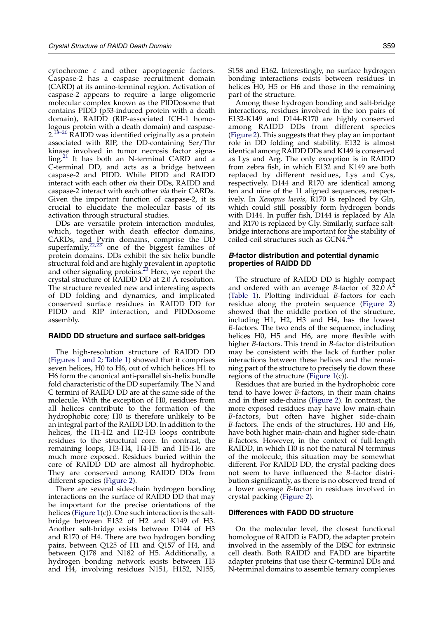cytochrome c and other apoptogenic factors. Caspase-2 has a caspase recruitment domain (CARD) at its amino-terminal region. Activation of caspase-2 appears to require a large oligomeric molecular complex known as the PIDDosome that contains PIDD (p53-induced protein with a death domain), RAIDD (RIP-associated ICH-1 homologous protein with a death domain) and caspase- $2.^{18-20}$  RAIDD was identified originally as a protein associated with RIP, the DD-containing Ser/Thr kinase involved in tumor necrosis factor signaling.[21](#page-5-0) It has both an N-terminal CARD and a C-terminal DD, and acts as a bridge between caspase-2 and PIDD. While PIDD and RAIDD interact with each other via their DDs, RAIDD and caspase-2 interact with each other via their CARDs. Given the important function of caspase-2, it is crucial to elucidate the molecular basis of its activation through structural studies.

DDs are versatile protein interaction modules, which, together with death effector domains, CARDs, and Pyrin domains, comprise the DD superfamily, $2^{2,23}$  one of the biggest families of protein domains. DDs exhibit the six helix bundle structural fold and are highly prevalent in apoptotic and other signaling proteins.<sup>[23](#page-5-0)</sup> Here, we report the crystal structure of RAIDD DD at 2.0 A resolution. The structure revealed new and interesting aspects of DD folding and dynamics, and implicated conserved surface residues in RAIDD DD for PIDD and RIP interaction, and PIDDosome assembly.

#### RAIDD DD structure and surface salt-bridges

The high-resolution structure of RAIDD DD [\(Figures 1 and 2;](#page-2-0) [Table 1\)](#page-4-0) showed that it comprises seven helices, H0 to H6, out of which helices H1 to H6 form the canonical anti-parallel six-helix bundle fold characteristic of the DD superfamily. The N and C termini of RAIDD DD are at the same side of the molecule. With the exception of H0, residues from all helices contribute to the formation of the hydrophobic core; H0 is therefore unlikely to be an integral part of the RAIDD DD. In addition to the helices, the H1-H2 and H2-H3 loops contribute residues to the structural core. In contrast, the remaining loops, H3-H4, H4-H5 and H5-H6 are much more exposed. Residues buried within the core of RAIDD DD are almost all hydrophobic. They are conserved among RAIDD DDs from different species [\(Figure 2\)](#page-3-0).

There are several side-chain hydrogen bonding interactions on the surface of RAIDD DD that may be important for the precise orientations of the helices [\(Figure 1\(](#page-2-0)c)). One such interaction is the saltbridge between E132 of H2 and K149 of H3. Another salt-bridge exists between D144 of H3 and R170 of H4. There are two hydrogen bonding pairs, between Q125 of H1 and Q157 of H4, and between Q178 and N182 of H5. Additionally, a hydrogen bonding network exists between H3 and H4, involving residues N151, H152, N155, S158 and E162. Interestingly, no surface hydrogen bonding interactions exists between residues in helices H0, H5 or H6 and those in the remaining part of the structure.

Among these hydrogen bonding and salt-bridge interactions, residues involved in the ion pairs of E132-K149 and D144-R170 are highly conserved among RAIDD DDs from different species [\(Figure 2\)](#page-3-0). This suggests that they play an important role in DD folding and stability. E132 is almost identical among RAIDD DDs and K149 is conserved as Lys and Arg. The only exception is in RAIDD from zebra fish, in which E132 and K149 are both replaced by different residues, Lys and Cys, respectively. D144 and R170 are identical among ten and nine of the 11 aligned sequences, respectively. In Xenopus laevis, R170 is replaced by Gln, which could still possibly form hydrogen bonds with D144. In puffer fish, D144 is replaced by Ala and R170 is replaced by Gly. Similarly, surface saltbridge interactions are important for the stability of coiled-coil structures such as GCN4.<sup>[24](#page-5-0)</sup>

#### B-factor distribution and potential dynamic properties of RAIDD DD

The structure of RAIDD DD is highly compact and ordered with an average B-factor of  $32.\dot{0}$   $\AA^2$ [\(Table 1\)](#page-4-0). Plotting individual B-factors for each residue along the protein sequence ([Figure 2\)](#page-3-0) showed that the middle portion of the structure, including H1, H2, H3 and H4, has the lowest B-factors. The two ends of the sequence, including helices H0, H5 and H6, are more flexible with higher B-factors. This trend in B-factor distribution may be consistent with the lack of further polar interactions between these helices and the remaining part of the structure to precisely tie down these regions of the structure [\(Figure 1\(](#page-2-0)c)).

Residues that are buried in the hydrophobic core tend to have lower B-factors, in their main chains and in their side-chains ([Figure 2](#page-3-0)). In contrast, the more exposed residues may have low main-chain B-factors, but often have higher side-chain B-factors. The ends of the structures, H0 and H6, have both higher main-chain and higher side-chain B-factors. However, in the context of full-length RAIDD, in which H0 is not the natural N terminus of the molecule, this situation may be somewhat different. For RAIDD DD, the crystal packing does not seem to have influenced the B-factor distribution significantly, as there is no observed trend of a lower average B-factor in residues involved in crystal packing ([Figure 2](#page-3-0)).

#### Differences with FADD DD structure

On the molecular level, the closest functional homologue of RAIDD is FADD, the adapter protein involved in the assembly of the DISC for extrinsic cell death. Both RAIDD and FADD are bipartite adapter proteins that use their C-terminal DDs and N-terminal domains to assemble ternary complexes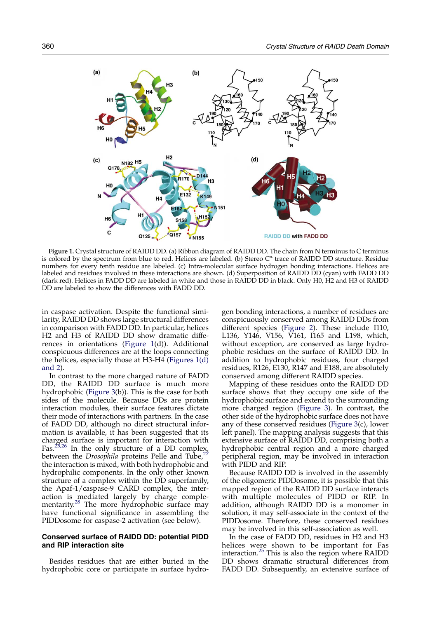<span id="page-2-0"></span>

Figure 1. Crystal structure of RAIDD DD. (a) Ribbon diagram of RAIDD DD. The chain from N terminus to C terminus is colored by the spectrum from blue to red. Helices are labeled. (b) Stereo  $C^{\alpha}$  trace of RAIDD DD structure. Residue numbers for every tenth residue are labeled. (c) Intra-molecular surface hydrogen bonding interactions. Helices are labeled and residues involved in these interactions are shown. (d) Superposition of RAIDD DD (cyan) with FADD DD (dark red). Helices in FADD DD are labeled in white and those in RAIDD DD in black. Only H0, H2 and H3 of RAIDD DD are labeled to show the differences with FADD DD.

in caspase activation. Despite the functional similarity, RAIDD DD shows large structural differences in comparison with FADD DD. In particular, helices H2 and H3 of RAIDD DD show dramatic differences in orientations (Figure 1(d)). Additional conspicuous differences are at the loops connecting the helices, especially those at  $H_3-H_4$  (Figures 1(d) and 2).

In contrast to the more charged nature of FADD DD, the RAIDD DD surface is much more hydrophobic [\(Figure 3\(](#page-4-0)b)). This is the case for both sides of the molecule. Because DDs are protein interaction modules, their surface features dictate their mode of interactions with partners. In the case of FADD DD, although no direct structural information is available, it has been suggested that its charged surface is important for interaction with Fas.<sup>[25,26](#page-5-0)</sup> In the only structure of a DD complex, between the *Drosophila* proteins Pelle and Tube, the interaction is mixed, with both hydrophobic and hydrophilic components. In the only other known structure of a complex within the DD superfamily, the Apaf-1/caspase-9 CARD complex, the interaction is mediated largely by charge comple-mentarity.<sup>[28](#page-5-0)</sup> The more hydrophobic surface may have functional significance in assembling the PIDDosome for caspase-2 activation (see below).

### Conserved surface of RAIDD DD: potential PIDD and RIP interaction site

Besides residues that are either buried in the hydrophobic core or participate in surface hydrogen bonding interactions, a number of residues are conspicuously conserved among RAIDD DDs from different species ([Figure 2](#page-3-0)). These include I110, L136, Y146, V156, V161, I165 and L198, which, without exception, are conserved as large hydrophobic residues on the surface of RAIDD DD. In addition to hydrophobic residues, four charged residues, R126, E130, R147 and E188, are absolutely conserved among different RAIDD species.

Mapping of these residues onto the RAIDD DD surface shows that they occupy one side of the hydrophobic surface and extend to the surrounding more charged region ([Figure 3\)](#page-4-0). In contrast, the other side of the hydrophobic surface does not have any of these conserved residues ([Figure 3](#page-4-0)(c), lower left panel). The mapping analysis suggests that this extensive surface of RAIDD DD, comprising both a hydrophobic central region and a more charged peripheral region, may be involved in interaction with PIDD and RIP.

Because RAIDD DD is involved in the assembly of the oligomeric PIDDosome, it is possible that this mapped region of the RAIDD DD surface interacts with multiple molecules of PIDD or RIP. In addition, although RAIDD DD is a monomer in solution, it may self-associate in the context of the PIDDosome. Therefore, these conserved residues may be involved in this self-association as well.

In the case of FADD DD, residues in H2 and H3 helices were shown to be important for Fas interaction.<sup>[25](#page-5-0)</sup> This is also the region where RAIDD DD shows dramatic structural differences from FADD DD. Subsequently, an extensive surface of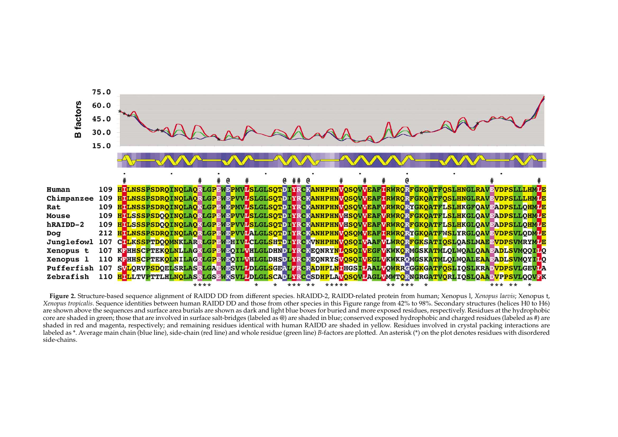<span id="page-3-0"></span>

Figure 2. Structure-based sequence alignment of RAIDD DD from different species. hRAIDD-2, RAIDD-related protein from human; Xenopus l, Xenopus laevis; Xenopus t, Xenopus tropicalis. Sequence identities between human RAIDD DD and those from other species in this Figure range from 42% to 98%. Secondary structures (helices H0 to H6) are shown above the sequences and surface area burials are shown as dark and light blue boxes for buried and more exposed residues, respectively. Residues at the hydrophobic core are shaded in green; those that are involved in surface salt-bridges (labeled as @) are shaded in blue; conserved exposed hydrophobic and charged residues (labeled as #) are shaded in red and magenta, respectively; and remaining residues identical with human RAIDD are shaded in yellow. Residues involved in crystal packing interactions are labeled as \*. Average main chain (blue line), side-chain (red line) and whole residue (green line) B-factors are plotted. An asterisk (\*) on the plot denotes residues with disordered side-chains.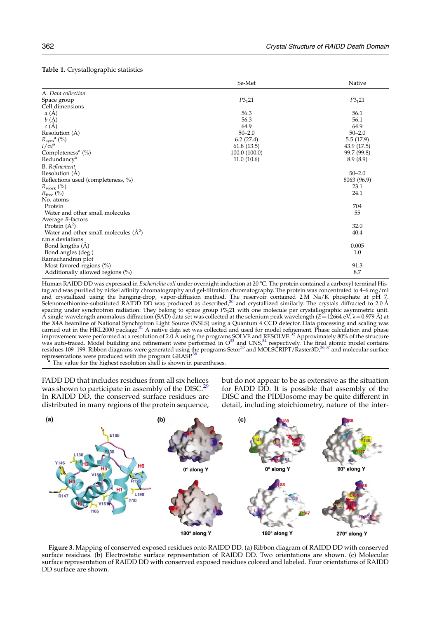|                                                                      | Se-Met       | Native      |
|----------------------------------------------------------------------|--------------|-------------|
| A. Data collection                                                   |              |             |
| Space group                                                          | $P3_121$     | $P3_121$    |
| Cell dimensions                                                      |              |             |
|                                                                      | 56.3         | 56.1        |
| $a \left(\stackrel{.}{A}\right)$<br>$b \left(\stackrel{.}{A}\right)$ | 56.3         | 56.1        |
| c(A)                                                                 | 64.9         | 64.9        |
| Resolution (A)                                                       | $50 - 2.0$   | $50 - 2.0$  |
| $R_{sym}^{\quad a}$ (%)                                              | 6.2(27.4)    | 5.5(17.9)   |
| $I/\sigma I^{\rm a}$                                                 | 61.8(13.5)   | 43.9 (17.5) |
| Completeness <sup>a</sup> $(\%)$                                     | 100.0(100.0) | 99.7 (99.8) |
| Redundancy <sup>a</sup>                                              | 11.0(10.6)   | 8.9(8.9)    |
| B. Refinement                                                        |              |             |
| Resolution (Å)                                                       |              | $50 - 2.0$  |
| Reflections used (completeness, %)                                   |              | 8063 (96.9) |
| $R_{\rm work}$ (%)                                                   |              | 23.1        |
| $R_{\text{free}}$ (%)                                                |              | 24.1        |
| No. atoms                                                            |              |             |
| Protein                                                              |              | 704         |
| Water and other small molecules                                      |              | 55          |
| Average B-factors                                                    |              |             |
| Protein $(\AA^2)$                                                    |              | 32.0        |
| Water and other small molecules $(\AA^2)$                            |              | 40.4        |
| r.m.s deviations                                                     |              |             |
| Bond lengths (A)                                                     |              | 0.005       |
| Bond angles (deg.)                                                   |              | 1.0         |
| Ramachandran plot                                                    |              |             |
| Most favored regions (%)                                             |              | 91.3        |
| Additionally allowed regions (%)                                     |              | 8.7         |
|                                                                      |              |             |

<span id="page-4-0"></span>Table 1. Crystallographic statistics

Human RAIDD DD was expressed in *Escherichia coli* under overnight induction at 20 °C. The protein contained a carboxyl terminal Histag and was purified by nickel affinity chromatography and gel-filtration chromatography. The protein was concentrated to 4–6 mg/ml and crystallized using the hanging-drop, vapor-diffusion method. The reservoir contained 2M Na/K phosphate at pH 7.<br>Selenomethionine-substituted RAIDD DD was produced as described,<sup>[30](#page-5-0)</sup> and crystallized similarly. The cryst spacing under synchrotron radiation. They belong to space group P3<sub>1</sub>21 with one molecule per crystallographic asymmetric unit. A single-wavelength anomalous diffraction (SAD) data set was collected at the selenium peak wavelength ( $E=12664$  eV,  $\lambda=0.979$  Å) at the X4A beamline of National Synchrotron Light Source (NSLS) using a Quantum 4 CCD detector. Data processing and scaling was carried out in the HKL2000 package.<sup>31</sup> A native data set was collected and used for model refinement. Phase calculation and phase improvement were performed at a resolution of 2.0 Å using the programs SOLVE and RESOLVE.<sup>[32](#page-5-0)</sup> Approximately 80% of the structure was auto-traced. Model building and refinement were performed in  $O^{33}$  $O^{33}$  $O^{33}$  and CNS, $^{34}$  respectively. The final atomic model contains residues 109–199. Ribbon diagrams were generated using the programs Setor $^{35}$  and MOLSCRIPT/Ŕaster3D, $^{36,37}$  $^{36,37}$  $^{36,37}$  and molecular surface representations were produced with the program GRASP.<sup>38</sup>

The value for the highest resolution shell is shown in parentheses.

FADD DD that includes residues from all six helices was shown to participate in assembly of the DISC.<sup>[29](#page-5-0)</sup> In RAIDD DD, the conserved surface residues are distributed in many regions of the protein sequence, but do not appear to be as extensive as the situation for FADD DD. It is possible that assembly of the DISC and the PIDDosome may be quite different in detail, including stoichiometry, nature of the inter-



Figure 3. Mapping of conserved exposed residues onto RAIDD DD. (a) Ribbon diagram of RAIDD DD with conserved surface residues. (b) Electrostatic surface representation of RAIDD DD. Two orientations are shown. (c) Molecular surface representation of RAIDD DD with conserved exposed residues colored and labeled. Four orientations of RAIDD DD surface are shown.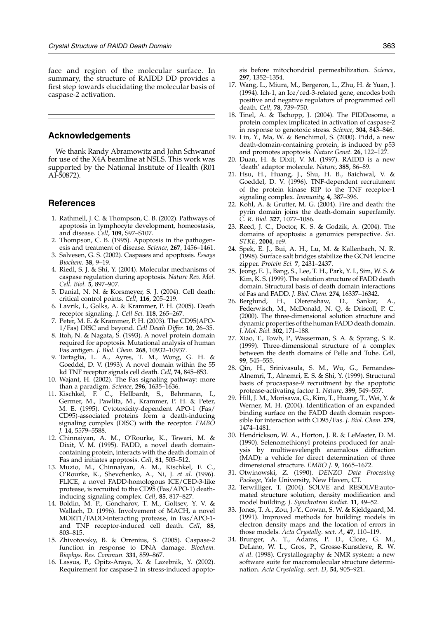<span id="page-5-0"></span>face and region of the molecular surface. In summary, the structure of RAIDD DD provides a first step towards elucidating the molecular basis of caspase-2 activation.

## Acknowledgements

We thank Randy Abramowitz and John Schwanof for use of the X4A beamline at NSLS. This work was supported by the National Institute of Health (R01 AI-50872).

# References

- 1. Rathmell, J. C. & Thompson, C. B. (2002). Pathways of apoptosis in lymphocyte development, homeostasis, and disease. Cell, 109, S97–S107.
- 2. Thompson, C. B. (1995). Apoptosis in the pathogenesis and treatment of disease. Science, 267, 1456–1461.
- 3. Salvesen, G. S. (2002). Caspases and apoptosis. Essays Biochem. 38, 9–19.
- 4. Riedl, S. J. & Shi, Y. (2004). Molecular mechanisms of caspase regulation during apoptosis. Nature Rev. Mol. Cell. Biol. 5, 897-907.
- 5. Danial, N. N. & Korsmeyer, S. J. (2004). Cell death: critical control points. Cell, 116, 205-219.
- 6. Lavrik, I., Golks, A. & Krammer, P. H. (2005). Death receptor signaling. J. Cell Sci. 118, 265–267.
- 7. Peter, M. E. & Krammer, P. H. (2003). The CD95(APO-1/Fas) DISC and beyond. Cell Death Differ. 10, 26-35.
- 8. Itoh, N. & Nagata, S. (1993). A novel protein domain required for apoptosis. Mutational analysis of human Fas antigen. J. Biol. Chem. 268, 10932-10937.
- 9. Tartaglia, L. A., Ayres, T. M., Wong, G. H. & Goeddel, D. V. (1993). A novel domain within the 55 kd TNF receptor signals cell death. Cell, 74, 845–853.
- 10. Wajant, H. (2002). The Fas signaling pathway: more than a paradigm. Science, 296, 1635-1636.
- 11. Kischkel, F. C., Hellbardt, S., Behrmann, I., Germer, M., Pawlita, M., Krammer, P. H. & Peter, M. E. (1995). Cytotoxicity-dependent APO-1 (Fas/ CD95)-associated proteins form a death-inducing signaling complex (DISC) with the receptor. EMBO J. 14, 5579–5588.
- 12. Chinnaiyan, A. M., O'Rourke, K., Tewari, M. & Dixit, V. M. (1995). FADD, a novel death domaincontaining protein, interacts with the death domain of Fas and initiates apoptosis. Cell, 81, 505–512.
- 13. Muzio, M., Chinnaiyan, A. M., Kischkel, F. C., O'Rourke, K., Shevchenko, A., Ni, J. et al. (1996). FLICE, a novel FADD-homologous ICE/CED-3-like protease, is recruited to the CD95 (Fas/APO-1) deathinducing signaling complex. Cell, 85, 817–827.
- 14. Boldin, M. P., Goncharov, T. M., Goltsev, Y. V. & Wallach, D. (1996). Involvement of MACH, a novel MORT1/FADD-interacting protease, in Fas/APO-1 and TNF receptor-induced cell death. Cell, 85, 803–815.
- 15. Zhivotovsky, B. & Orrenius, S. (2005). Caspase-2 function in response to DNA damage. Biochem. Biophys. Res. Commun. 331, 859–867.
- 16. Lassus, P., Opitz-Araya, X. & Lazebnik, Y. (2002). Requirement for caspase-2 in stress-induced apopto-

sis before mitochondrial permeabilization. Science, 297, 1352–1354.

- 17. Wang, L., Miura, M., Bergeron, L., Zhu, H. & Yuan, J. (1994). Ich-1, an Ice/ced-3-related gene, encodes both positive and negative regulators of programmed cell death. Cell, 78, 739-750.
- 18. Tinel, A. & Tschopp, J. (2004). The PIDDosome, a protein complex implicated in activation of caspase-2 in response to genotoxic stress. Science, 304, 843–846.
- 19. Lin, Y., Ma, W. & Benchimol, S. (2000). Pidd, a new death-domain-containing protein, is induced by p53 and promotes apoptosis. Nature Genet. 26, 122–127.
- 20. Duan, H. & Dixit, V. M. (1997). RAIDD is a new 'death' adaptor molecule. Nature, 385, 86-89.
- 21. Hsu, H., Huang, J., Shu, H. B., Baichwal, V. & Goeddel, D. V. (1996). TNF-dependent recruitment of the protein kinase RIP to the TNF receptor-1 signaling complex. Immunity, 4, 387-396.
- 22. Kohl, A. & Grutter, M. G. (2004). Fire and death: the pyrin domain joins the death-domain superfamily. C. R. Biol. 327, 1077–1086.
- 23. Reed, J. C., Doctor, K. S. & Godzik, A. (2004). The domains of apoptosis: a genomics perspective. Sci. STKE, 2004, re9.
- 24. Spek, E. J., Bui, A. H., Lu, M. & Kallenbach, N. R. (1998). Surface salt bridges stabilize the GCN4 leucine zipper. Protein Sci. 7, 2431–2437.
- 25. Jeong, E. J., Bang, S., Lee, T. H., Park, Y. I., Sim, W. S. & Kim, K. S. (1999). The solution structure of FADD death domain. Structural basis of death domain interactions of Fas and FADD. J. Biol. Chem. 274, 16337–16342.
- 26. Berglund, H., Olerenshaw, D., Sankar, A., Federwisch, M., McDonald, N. Q. & Driscoll, P. C. (2000). The three-dimensional solution structure and dynamic properties of the human FADD death domain. J. Mol. Biol. 302, 171–188.
- 27. Xiao, T., Towb, P., Wasserman, S. A. & Sprang, S. R. (1999). Three-dimensional structure of a complex between the death domains of Pelle and Tube. Cell, 99, 545–555.
- 28. Qin, H., Srinivasula, S. M., Wu, G., Fernandes-Alnemri, T., Alnemri, E. S. & Shi, Y. (1999). Structural basis of procaspase-9 recruitment by the apoptotic protease-activating factor 1. Nature, 399, 549-557
- 29. Hill, J. M., Morisawa, G., Kim, T., Huang, T., Wei, Y. & Werner, M. H. (2004). Identification of an expanded binding surface on the FADD death domain responsible for interaction with CD95/Fas. J. Biol. Chem. 279, 1474–1481.
- 30. Hendrickson, W. A., Horton, J. R. & LeMaster, D. M. (1990). Selenomethionyl proteins produced for analysis by multiwavelength anamalous diffraction (MAD): a vehicle for direct determination of three dimensional structure. EMBO J. 9, 1665-1672.
- 31. Otwinowski, Z. (1990). DENZO Data Processing Package, Yale University, New Haven, CT.
- 32. Terwilliger, T. (2004). SOLVE and RESOLVE:automated structure solution, density modification and model building. J. Synchrotron Radiat. 11, 49–52.
- 33. Jones, T. A., Zou, J.-Y., Cowan, S. W. & Kjeldgaard, M. (1991). Improved methods for building models in electron density maps and the location of errors in those models. Acta Crystallg. sect. A, 47, 110–119.
- 34. Brunger, A. T., Adams, P. D., Clore, G. M., DeLano, W. L., Gros, P., Grosse-Kunstleve, R. W. et al. (1998). Crystallography & NMR system: a new software suite for macromolecular structure determination. Acta Crystallog. sect. D, 54, 905–921.